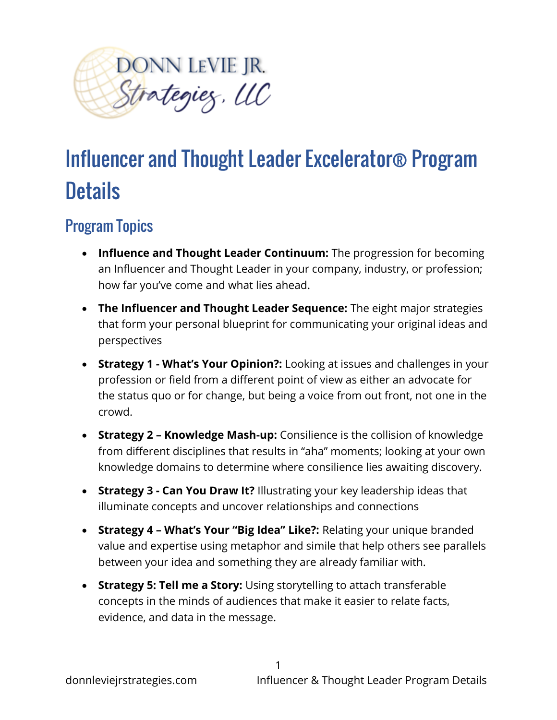

## Influencer and Thought Leader Excelerator® Program **Details**

## Program Topics

- **Influence and Thought Leader Continuum:** The progression for becoming an Influencer and Thought Leader in your company, industry, or profession; how far you've come and what lies ahead.
- **The Influencer and Thought Leader Sequence:** The eight major strategies that form your personal blueprint for communicating your original ideas and perspectives
- **Strategy 1 - What's Your Opinion?:** Looking at issues and challenges in your profession or field from a different point of view as either an advocate for the status quo or for change, but being a voice from out front, not one in the crowd.
- **Strategy 2 – Knowledge Mash-up:** Consilience is the collision of knowledge from different disciplines that results in "aha" moments; looking at your own knowledge domains to determine where consilience lies awaiting discovery.
- **Strategy 3 - Can You Draw It?** Illustrating your key leadership ideas that illuminate concepts and uncover relationships and connections
- **Strategy 4 – What's Your "Big Idea" Like?:** Relating your unique branded value and expertise using metaphor and simile that help others see parallels between your idea and something they are already familiar with.
- **Strategy 5: Tell me a Story:** Using storytelling to attach transferable concepts in the minds of audiences that make it easier to relate facts, evidence, and data in the message.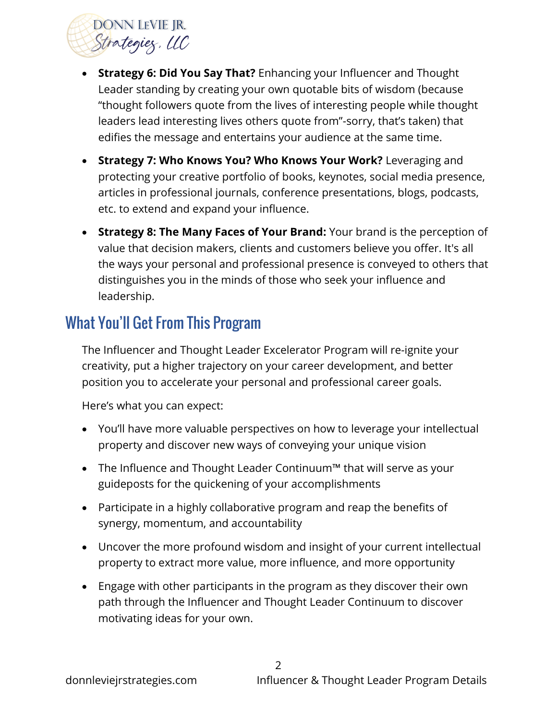

- **Strategy 6: Did You Say That?** Enhancing your Influencer and Thought Leader standing by creating your own quotable bits of wisdom (because "thought followers quote from the lives of interesting people while thought leaders lead interesting lives others quote from"-sorry, that's taken) that edifies the message and entertains your audience at the same time.
- **Strategy 7: Who Knows You? Who Knows Your Work?** Leveraging and protecting your creative portfolio of books, keynotes, social media presence, articles in professional journals, conference presentations, blogs, podcasts, etc. to extend and expand your influence.
- **Strategy 8: The Many Faces of Your Brand:** Your brand is the perception of value that decision makers, clients and customers believe you offer. It's all the ways your personal and professional presence is conveyed to others that distinguishes you in the minds of those who seek your influence and leadership.

## What You'll Get From This Program

The Influencer and Thought Leader Excelerator Program will re-ignite your creativity, put a higher trajectory on your career development, and better position you to accelerate your personal and professional career goals.

Here's what you can expect:

- You'll have more valuable perspectives on how to leverage your intellectual property and discover new ways of conveying your unique vision
- The Influence and Thought Leader Continuum™ that will serve as your guideposts for the quickening of your accomplishments
- Participate in a highly collaborative program and reap the benefits of synergy, momentum, and accountability
- Uncover the more profound wisdom and insight of your current intellectual property to extract more value, more influence, and more opportunity
- Engage with other participants in the program as they discover their own path through the Influencer and Thought Leader Continuum to discover motivating ideas for your own.